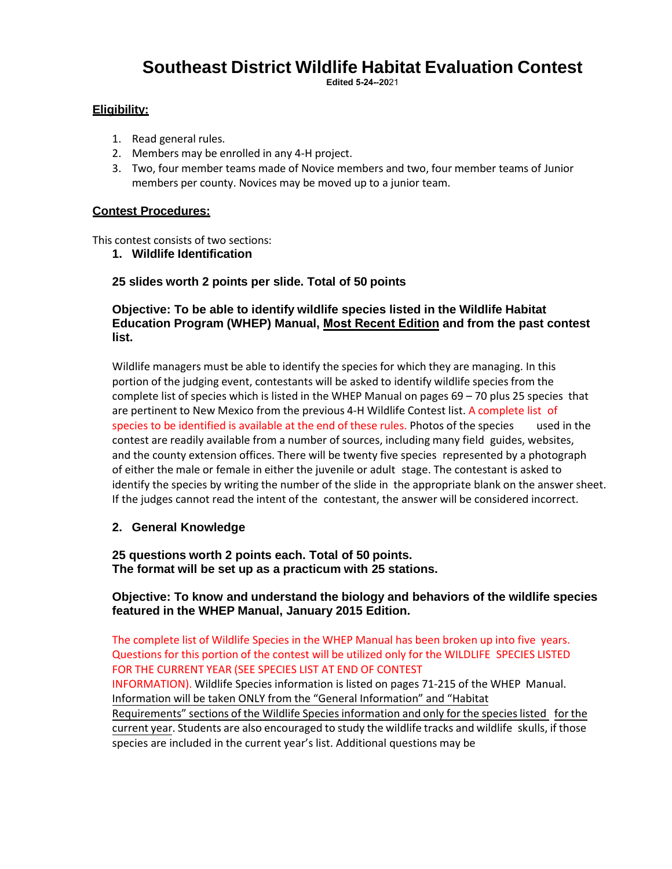# **Southeast District Wildlife Habitat Evaluation Contest**

**Edited 5-24--20**21

#### **Eligibility:**

- 1. Read general rules.
- 2. Members may be enrolled in any 4-H project.
- 3. Two, four member teams made of Novice members and two, four member teams of Junior members per county. Novices may be moved up to a junior team.

#### **Contest Procedures:**

This contest consists of two sections:

**1. Wildlife Identification**

#### **25 slides worth 2 points per slide. Total of 50 points**

#### **Objective: To be able to identify wildlife species listed in the Wildlife Habitat Education Program (WHEP) Manual, Most Recent Edition and from the past contest list.**

Wildlife managers must be able to identify the species for which they are managing. In this portion of the judging event, contestants will be asked to identify wildlife species from the complete list of species which is listed in the WHEP Manual on pages  $69 - 70$  plus 25 species that are pertinent to New Mexico from the previous 4-H Wildlife Contest list. A complete list of species to be identified is available at the end of these rules. Photos of the species used in the contest are readily available from a number of sources, including many field guides, websites, and the county extension offices. There will be twenty five species represented by a photograph of either the male or female in either the juvenile or adult stage. The contestant is asked to identify the species by writing the number of the slide in the appropriate blank on the answer sheet. If the judges cannot read the intent of the contestant, the answer will be considered incorrect.

#### **2. General Knowledge**

#### **25 questions worth 2 points each. Total of 50 points. The format will be set up as a practicum with 25 stations.**

#### **Objective: To know and understand the biology and behaviors of the wildlife species featured in the WHEP Manual, January 2015 Edition.**

The complete list of Wildlife Species in the WHEP Manual has been broken up into five years. Questions for this portion of the contest will be utilized only for the WILDLIFE SPECIES LISTED FOR THE CURRENT YEAR (SEE SPECIES LIST AT END OF CONTEST

INFORMATION). Wildlife Species information is listed on pages 71-215 of the WHEP Manual. Information will be taken ONLY from the "General Information" and "Habitat Requirements" sections of the Wildlife Species information and only for the species listed for the current year. Students are also encouraged to study the wildlife tracks and wildlife skulls, if those species are included in the current year's list. Additional questions may be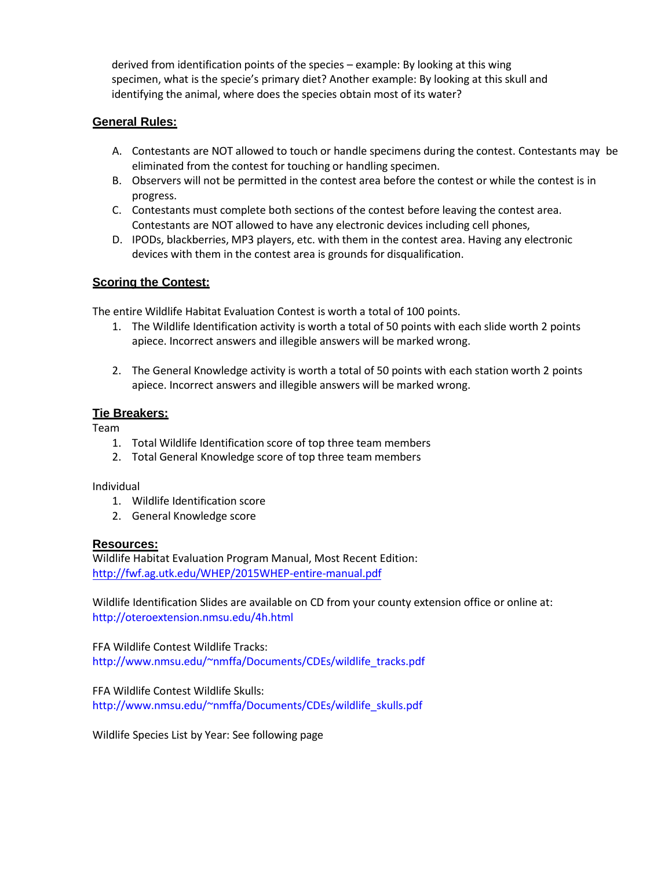derived from identification points of the species – example: By looking at this wing specimen, what is the specie's primary diet? Another example: By looking at this skull and identifying the animal, where does the species obtain most of its water?

#### **General Rules:**

- A. Contestants are NOT allowed to touch or handle specimens during the contest. Contestants may be eliminated from the contest for touching or handling specimen.
- B. Observers will not be permitted in the contest area before the contest or while the contest is in progress.
- C. Contestants must complete both sections of the contest before leaving the contest area. Contestants are NOT allowed to have any electronic devices including cell phones,
- D. IPODs, blackberries, MP3 players, etc. with them in the contest area. Having any electronic devices with them in the contest area is grounds for disqualification.

#### **Scoring the Contest:**

The entire Wildlife Habitat Evaluation Contest is worth a total of 100 points.

- 1. The Wildlife Identification activity is worth a total of 50 points with each slide worth 2 points apiece. Incorrect answers and illegible answers will be marked wrong.
- 2. The General Knowledge activity is worth a total of 50 points with each station worth 2 points apiece. Incorrect answers and illegible answers will be marked wrong.

#### **Tie Breakers:**

Team

- 1. Total Wildlife Identification score of top three team members
- 2. Total General Knowledge score of top three team members

Individual

- 1. Wildlife Identification score
- 2. General Knowledge score

#### **Resources:**

Wildlife Habitat Evaluation Program Manual, Most Recent Edition: <http://fwf.ag.utk.edu/WHEP/2015WHEP-entire-manual.pdf>

Wildlife Identification Slides are available on CD from your county extension office or online at: <http://oteroextension.nmsu.edu/4h.html>

FFA Wildlife Contest Wildlife Tracks: [http://www.nmsu.edu/~nmffa/Documents/CDEs/wildlife\\_tracks.pdf](http://www.nmsu.edu/~nmffa/Documents/CDEs/wildlife_tracks.pdf)

FFA Wildlife Contest Wildlife Skulls: [http://www.nmsu.edu/~nmffa/Documents/CDEs/wildlife\\_skulls.pdf](http://www.nmsu.edu/~nmffa/Documents/CDEs/wildlife_skulls.pdf)

Wildlife Species List by Year: See following page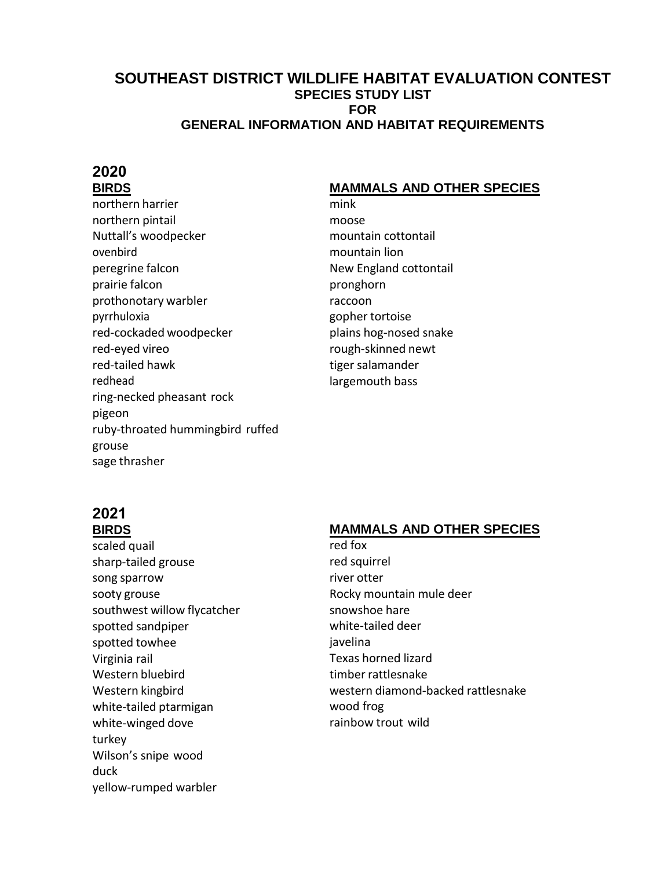## **SOUTHEAST DISTRICT WILDLIFE HABITAT EVALUATION CONTEST SPECIES STUDY LIST FOR GENERAL INFORMATION AND HABITAT REQUIREMENTS**

## **2020 BIRDS**

northern harrier northern pintail Nuttall's woodpecker ovenbird peregrine falcon prairie falcon prothonotary warbler pyrrhuloxia red-cockaded woodpecker red-eyed vireo red-tailed hawk redhead ring-necked pheasant rock pigeon ruby-throated hummingbird ruffed grouse sage thrasher

## **MAMMALS AND OTHER SPECIES**

mink moose mountain cottontail mountain lion New England cottontail pronghorn raccoon gopher tortoise plains hog-nosed snake rough-skinned newt tiger salamander largemouth bass

# **2021 BIRDS**

scaled quail sharp-tailed grouse song sparrow sooty grouse southwest willow flycatcher spotted sandpiper spotted towhee Virginia rail Western bluebird Western kingbird white-tailed ptarmigan white-winged dove turkey Wilson's snipe wood duck yellow-rumped warbler

# **MAMMALS AND OTHER SPECIES**

red fox red squirrel river otter Rocky mountain mule deer snowshoe hare white-tailed deer iavelina Texas horned lizard timber rattlesnake western diamond-backed rattlesnake wood frog rainbow trout wild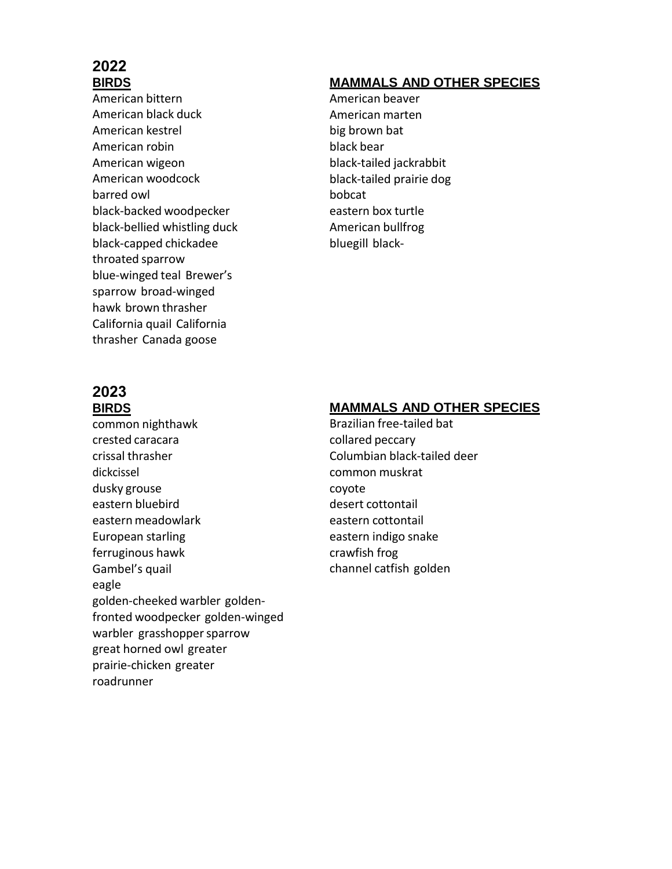# **2022 BIRDS**

American bittern American black duck American kestrel American robin American wigeon American woodcock barred owl black-backed woodpecker black-bellied whistling duck black-capped chickadee throated sparrow blue-winged teal Brewer's sparrow broad-winged hawk brown thrasher California quail California thrasher Canada goose

### **2023 BIRDS**

common nighthawk crested caracara crissal thrasher dickcissel dusky grouse eastern bluebird eastern meadowlark European starling ferruginous hawk Gambel's quail eagle golden-cheeked warbler goldenfronted woodpecker golden-winged warbler grasshopper sparrow great horned owl greater prairie-chicken greater roadrunner

## **MAMMALS AND OTHER SPECIES**

American beaver American marten big brown bat black bear black-tailed jackrabbit black-tailed prairie dog bobcat eastern box turtle American bullfrog bluegill black-

## **MAMMALS AND OTHER SPECIES**

Brazilian free-tailed bat collared peccary Columbian black-tailed deer common muskrat coyote desert cottontail eastern cottontail eastern indigo snake crawfish frog channel catfish golden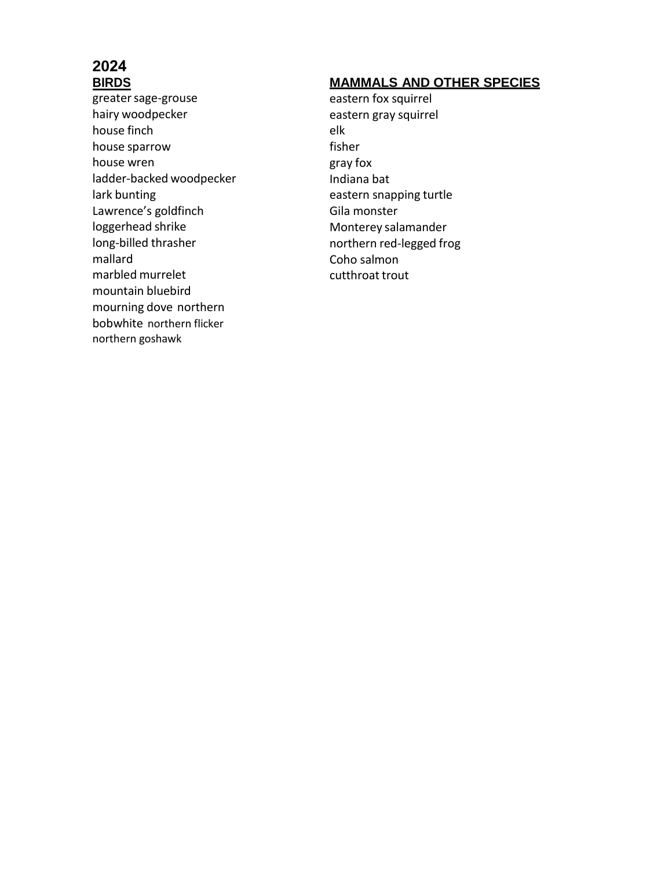# **2024 BIRDS**

greater sage-grouse hairy woodpecker house finch house sparrow house wren ladder-backed woodpecker lark bunting Lawrence's goldfinch loggerhead shrike long-billed thrasher mallard marbled murrelet mountain bluebird mourning dove northern bobwhite northern flicker northern goshawk

# **MAMMALS AND OTHER SPECIES**

eastern fox squirrel eastern gray squirrel elk fisher gray fox Indiana bat eastern snapping turtle Gila monster Monterey salamander northern red-legged frog Coho salmon cutthroat trout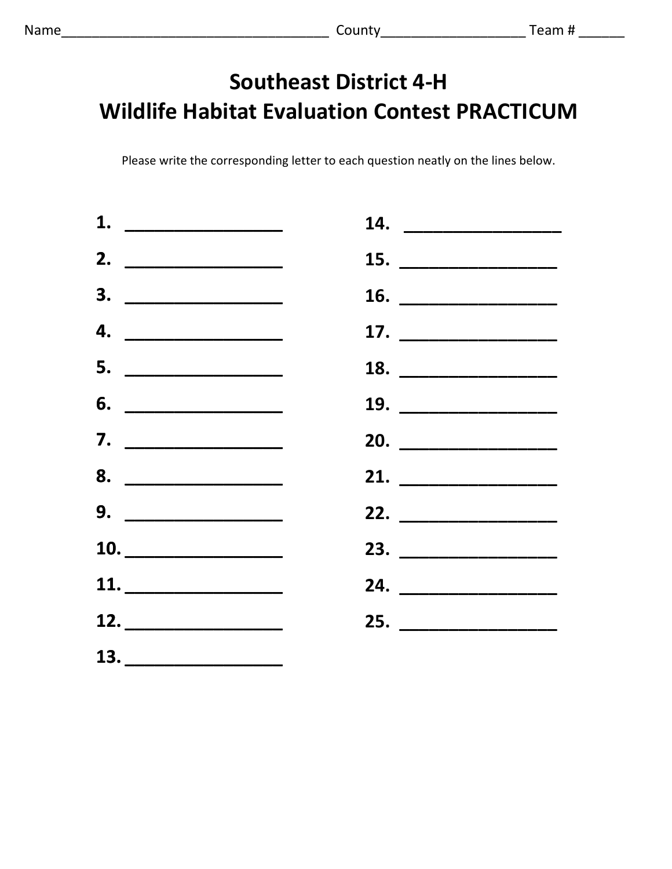# **Southeast District 4-H Wildlife Habitat Evaluation Contest PRACTICUM**

Please write the corresponding letter to each question neatly on the lines below.

| 1. $\overline{\phantom{a} \phantom{a} \phantom{a}}$                                                                  |                                 |
|----------------------------------------------------------------------------------------------------------------------|---------------------------------|
| 2. ________________                                                                                                  |                                 |
|                                                                                                                      | 16. $\overline{\qquad \qquad }$ |
| 4. $\qquad$                                                                                                          |                                 |
| 5. __________________                                                                                                | 18. $\overline{\qquad \qquad }$ |
|                                                                                                                      | 19. ____________________        |
|                                                                                                                      | 20.                             |
| 8.                                                                                                                   |                                 |
| $9. \begin{tabular}{ c c c c } \hline \quad \quad & \quad \quad & \quad \quad & \quad \quad \\ \hline \end{tabular}$ | 22. __________________          |
|                                                                                                                      | 23. ___________________         |
|                                                                                                                      | 24. ___________________         |
|                                                                                                                      | 25. ___________________         |
|                                                                                                                      |                                 |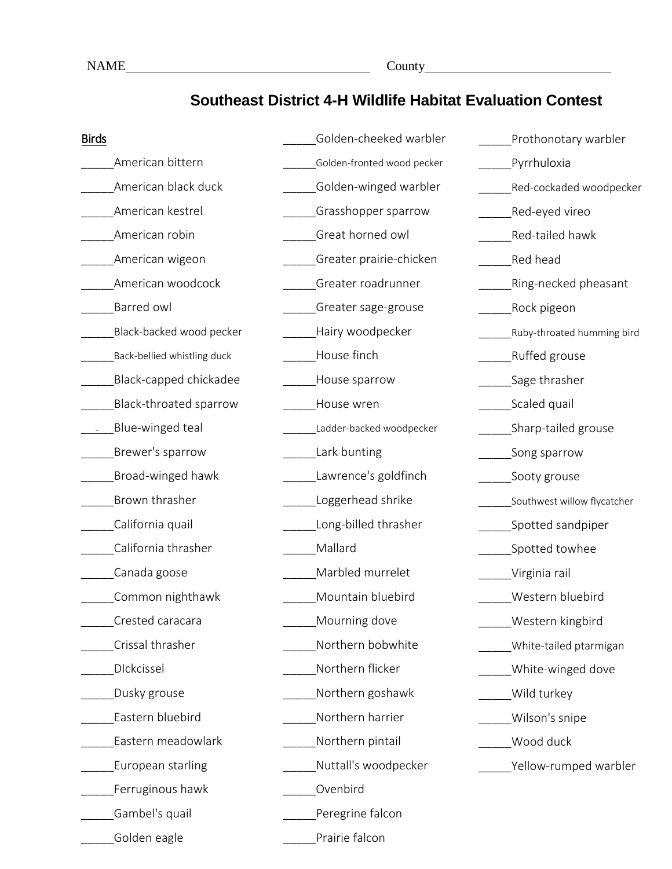# **Southeast District 4-H Wildlife Habitat Evaluation Contest**

| <b>Birds</b>                | Golden-cheeked warbler     | Prothonotary warbler        |
|-----------------------------|----------------------------|-----------------------------|
| American bittern            | Golden-fronted wood pecker | Pyrrhuloxia                 |
| American black duck         | Golden-winged warbler      | Red-cockaded woodpecker     |
| American kestrel            | Grasshopper sparrow        | Red-eyed vireo              |
| American robin              | Great horned owl           | Red-tailed hawk             |
| American wigeon             | Greater prairie-chicken    | Red head                    |
| American woodcock           | Greater roadrunner         | Ring-necked pheasant        |
| Barred owl                  | Greater sage-grouse        | Rock pigeon                 |
| Black-backed wood pecker    | Hairy woodpecker           | Ruby-throated humming bird  |
| Back-bellied whistling duck | House finch                | <b>Ruffed grouse</b>        |
| Black-capped chickadee      | House sparrow              | Sage thrasher               |
| Black-throated sparrow      | House wren                 | Scaled quail                |
| Blue-winged teal            | Ladder-backed woodpecker   | Sharp-tailed grouse         |
| Brewer's sparrow            | Lark bunting               | Song sparrow                |
| Broad-winged hawk           | Lawrence's goldfinch       | Sooty grouse                |
| Brown thrasher              | Loggerhead shrike          | Southwest willow flycatcher |
| California quail            | Long-billed thrasher       | Spotted sandpiper           |
| California thrasher         | Mallard                    | Spotted towhee              |
| Canada goose                | Marbled murrelet           | Virginia rail               |
| Common nighthawk            | Mountain bluebird          | Western bluebird            |
| Crested caracara            | Mourning dove              | Western kingbird            |
| Crissal thrasher            | Northern bobwhite          | White-tailed ptarmigan      |
| DIckcissel                  | Northern flicker           | White-winged dove           |
| Dusky grouse                | Northern goshawk           | Wild turkey                 |
| Eastern bluebird            | Northern harrier           | Wilson's snipe              |
| Eastern meadowlark          | Northern pintail           | Wood duck                   |
| European starling           | Nuttall's woodpecker       | Yellow-rumped warbler       |
| Ferruginous hawk            | Ovenbird                   |                             |
| Gambel's quail              | Peregrine falcon           |                             |
| Golden eagle                | Prairie falcon             |                             |